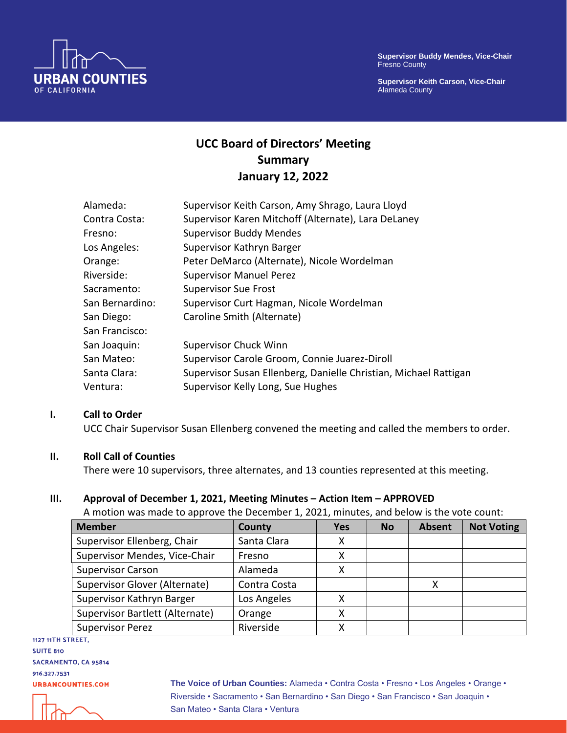

**Supervisor Keith Carson, Vice-Chair** Alameda County



# **UCC Board of Directors' Meeting Summary January 12, 2022**

| Alameda:        | Supervisor Keith Carson, Amy Shrago, Laura Lloyd                 |
|-----------------|------------------------------------------------------------------|
| Contra Costa:   | Supervisor Karen Mitchoff (Alternate), Lara DeLaney              |
| Fresno:         | <b>Supervisor Buddy Mendes</b>                                   |
| Los Angeles:    | Supervisor Kathryn Barger                                        |
| Orange:         | Peter DeMarco (Alternate), Nicole Wordelman                      |
| Riverside:      | <b>Supervisor Manuel Perez</b>                                   |
| Sacramento:     | <b>Supervisor Sue Frost</b>                                      |
| San Bernardino: | Supervisor Curt Hagman, Nicole Wordelman                         |
| San Diego:      | Caroline Smith (Alternate)                                       |
| San Francisco:  |                                                                  |
| San Joaquin:    | <b>Supervisor Chuck Winn</b>                                     |
| San Mateo:      | Supervisor Carole Groom, Connie Juarez-Diroll                    |
| Santa Clara:    | Supervisor Susan Ellenberg, Danielle Christian, Michael Rattigan |
| Ventura:        | Supervisor Kelly Long, Sue Hughes                                |

## **I. Call to Order**

UCC Chair Supervisor Susan Ellenberg convened the meeting and called the members to order.

#### **II. Roll Call of Counties**

There were 10 supervisors, three alternates, and 13 counties represented at this meeting.

## **III. Approval of December 1, 2021, Meeting Minutes – Action Item – APPROVED**

A motion was made to approve the December 1, 2021, minutes, and below is the vote count:

| <b>Member</b>                   | County       | Yes | <b>No</b> | <b>Absent</b> | <b>Not Voting</b> |
|---------------------------------|--------------|-----|-----------|---------------|-------------------|
| Supervisor Ellenberg, Chair     | Santa Clara  | х   |           |               |                   |
| Supervisor Mendes, Vice-Chair   | Fresno       | χ   |           |               |                   |
| <b>Supervisor Carson</b>        | Alameda      | χ   |           |               |                   |
| Supervisor Glover (Alternate)   | Contra Costa |     |           |               |                   |
| Supervisor Kathryn Barger       | Los Angeles  |     |           |               |                   |
| Supervisor Bartlett (Alternate) | Orange       | х   |           |               |                   |
| <b>Supervisor Perez</b>         | Riverside    |     |           |               |                   |

**1127 11TH STREET, SUITE 810** SACRAMENTO, CA 95814 916.327.7531

**URBANCOUNTIES.COM** 

**The Voice of Urban Counties:** Alameda • Contra Costa • Fresno • Los Angeles • Orange • Riverside • Sacramento • San Bernardino • San Diego • San Francisco • San Joaquin • San Mateo • Santa Clara • Ventura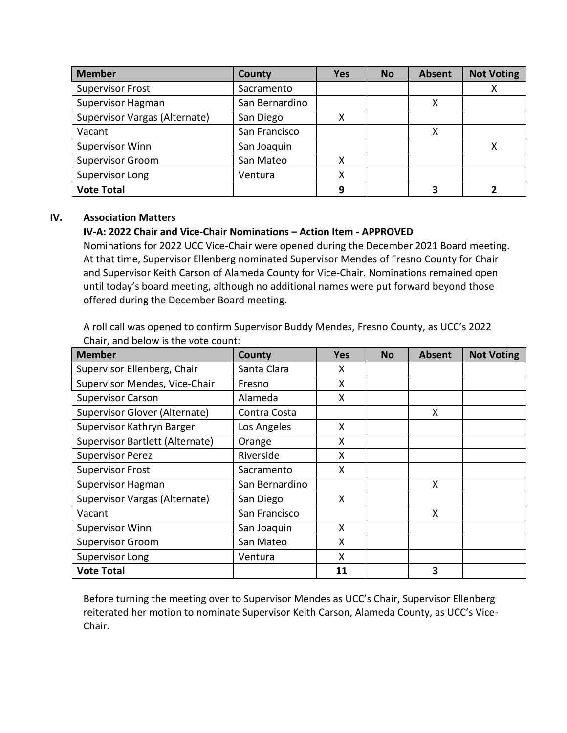| <b>Member</b>                 | County         | <b>Yes</b> | <b>No</b> | <b>Absent</b> | <b>Not Voting</b> |
|-------------------------------|----------------|------------|-----------|---------------|-------------------|
| <b>Supervisor Frost</b>       | Sacramento     |            |           |               |                   |
| Supervisor Hagman             | San Bernardino |            |           | Χ             |                   |
| Supervisor Vargas (Alternate) | San Diego      | Χ          |           |               |                   |
| Vacant                        | San Francisco  |            |           | X             |                   |
| Supervisor Winn               | San Joaquin    |            |           |               | χ                 |
| <b>Supervisor Groom</b>       | San Mateo      | x          |           |               |                   |
| Supervisor Long               | Ventura        | Χ          |           |               |                   |
| <b>Vote Total</b>             |                | 9          |           |               |                   |

## **IV. Association Matters**

# **IV-A: 2022 Chair and Vice-Chair Nominations – Action Item - APPROVED**

Nominations for 2022 UCC Vice-Chair were opened during the December 2021 Board meeting. At that time, Supervisor Ellenberg nominated Supervisor Mendes of Fresno County for Chair and Supervisor Keith Carson of Alameda County for Vice-Chair. Nominations remained open until today's board meeting, although no additional names were put forward beyond those offered during the December Board meeting.

A roll call was opened to confirm Supervisor Buddy Mendes, Fresno County, as UCC's 2022 Chair, and below is the vote count:

| <b>Member</b>                   | County         | <b>Yes</b> | <b>No</b> | <b>Absent</b> | <b>Not Voting</b> |
|---------------------------------|----------------|------------|-----------|---------------|-------------------|
| Supervisor Ellenberg, Chair     | Santa Clara    | x          |           |               |                   |
| Supervisor Mendes, Vice-Chair   | Fresno         | X          |           |               |                   |
| <b>Supervisor Carson</b>        | Alameda        | X          |           |               |                   |
| Supervisor Glover (Alternate)   | Contra Costa   |            |           | X             |                   |
| Supervisor Kathryn Barger       | Los Angeles    | X          |           |               |                   |
| Supervisor Bartlett (Alternate) | Orange         | X          |           |               |                   |
| <b>Supervisor Perez</b>         | Riverside      | X          |           |               |                   |
| <b>Supervisor Frost</b>         | Sacramento     | X          |           |               |                   |
| Supervisor Hagman               | San Bernardino |            |           | X.            |                   |
| Supervisor Vargas (Alternate)   | San Diego      | x          |           |               |                   |
| Vacant                          | San Francisco  |            |           | X             |                   |
| <b>Supervisor Winn</b>          | San Joaquin    | x          |           |               |                   |
| <b>Supervisor Groom</b>         | San Mateo      | X          |           |               |                   |
| Supervisor Long                 | Ventura        | X          |           |               |                   |
| <b>Vote Total</b>               |                | 11         |           | 3             |                   |

Before turning the meeting over to Supervisor Mendes as UCC's Chair, Supervisor Ellenberg reiterated her motion to nominate Supervisor Keith Carson, Alameda County, as UCC's Vice-Chair.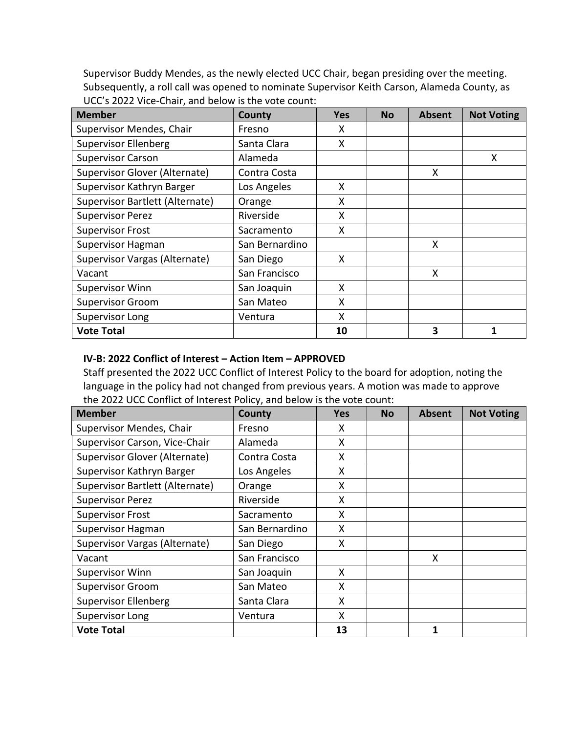Supervisor Buddy Mendes, as the newly elected UCC Chair, began presiding over the meeting. Subsequently, a roll call was opened to nominate Supervisor Keith Carson, Alameda County, as UCC's 2022 Vice-Chair, and below is the vote count:

| <b>Member</b>                   | County         | <b>Yes</b> | <b>No</b> | <b>Absent</b> | <b>Not Voting</b> |
|---------------------------------|----------------|------------|-----------|---------------|-------------------|
| Supervisor Mendes, Chair        | Fresno         | x          |           |               |                   |
| <b>Supervisor Ellenberg</b>     | Santa Clara    | X          |           |               |                   |
| <b>Supervisor Carson</b>        | Alameda        |            |           |               | X                 |
| Supervisor Glover (Alternate)   | Contra Costa   |            |           | X             |                   |
| Supervisor Kathryn Barger       | Los Angeles    | X          |           |               |                   |
| Supervisor Bartlett (Alternate) | Orange         | X          |           |               |                   |
| <b>Supervisor Perez</b>         | Riverside      | X          |           |               |                   |
| <b>Supervisor Frost</b>         | Sacramento     | X          |           |               |                   |
| <b>Supervisor Hagman</b>        | San Bernardino |            |           | X             |                   |
| Supervisor Vargas (Alternate)   | San Diego      | X          |           |               |                   |
| Vacant                          | San Francisco  |            |           | X             |                   |
| <b>Supervisor Winn</b>          | San Joaquin    | X          |           |               |                   |
| <b>Supervisor Groom</b>         | San Mateo      | X          |           |               |                   |
| <b>Supervisor Long</b>          | Ventura        | X          |           |               |                   |
| <b>Vote Total</b>               |                | 10         |           | 3             | 1                 |

## **IV-B: 2022 Conflict of Interest – Action Item – APPROVED**

Staff presented the 2022 UCC Conflict of Interest Policy to the board for adoption, noting the language in the policy had not changed from previous years. A motion was made to approve the 2022 UCC Conflict of Interest Policy, and below is the vote count:

| <b>Member</b>                   | County         | <b>Yes</b> | <b>No</b> | <b>Absent</b> | <b>Not Voting</b> |
|---------------------------------|----------------|------------|-----------|---------------|-------------------|
| Supervisor Mendes, Chair        | Fresno         | x          |           |               |                   |
| Supervisor Carson, Vice-Chair   | Alameda        | X          |           |               |                   |
| Supervisor Glover (Alternate)   | Contra Costa   | X          |           |               |                   |
| Supervisor Kathryn Barger       | Los Angeles    | X          |           |               |                   |
| Supervisor Bartlett (Alternate) | Orange         | X          |           |               |                   |
| <b>Supervisor Perez</b>         | Riverside      | X          |           |               |                   |
| <b>Supervisor Frost</b>         | Sacramento     | X          |           |               |                   |
| <b>Supervisor Hagman</b>        | San Bernardino | X          |           |               |                   |
| Supervisor Vargas (Alternate)   | San Diego      | X          |           |               |                   |
| Vacant                          | San Francisco  |            |           | X             |                   |
| <b>Supervisor Winn</b>          | San Joaquin    | X          |           |               |                   |
| <b>Supervisor Groom</b>         | San Mateo      | X          |           |               |                   |
| <b>Supervisor Ellenberg</b>     | Santa Clara    | X          |           |               |                   |
| Supervisor Long                 | Ventura        | X          |           |               |                   |
| <b>Vote Total</b>               |                | 13         |           |               |                   |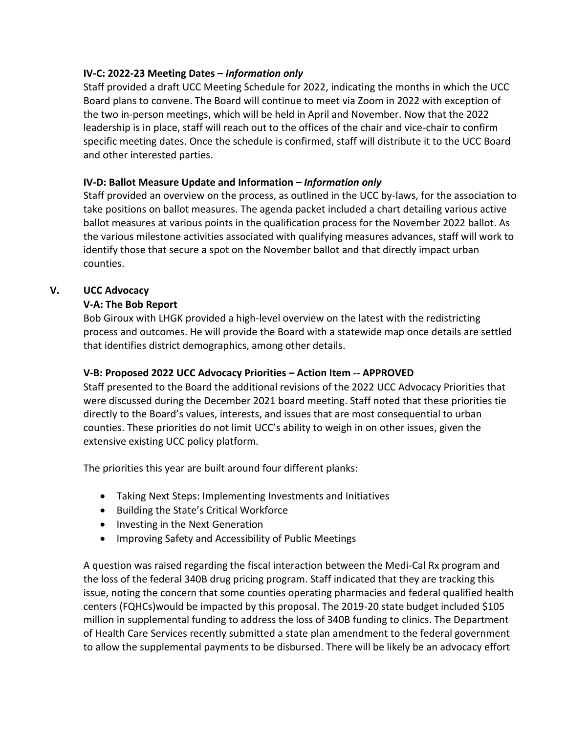# **IV-C: 2022-23 Meeting Dates –** *Information only*

Staff provided a draft UCC Meeting Schedule for 2022, indicating the months in which the UCC Board plans to convene. The Board will continue to meet via Zoom in 2022 with exception of the two in-person meetings, which will be held in April and November. Now that the 2022 leadership is in place, staff will reach out to the offices of the chair and vice-chair to confirm specific meeting dates. Once the schedule is confirmed, staff will distribute it to the UCC Board and other interested parties.

## **IV-D: Ballot Measure Update and Information –** *Information only*

Staff provided an overview on the process, as outlined in the UCC by-laws, for the association to take positions on ballot measures. The agenda packet included a chart detailing various active ballot measures at various points in the qualification process for the November 2022 ballot. As the various milestone activities associated with qualifying measures advances, staff will work to identify those that secure a spot on the November ballot and that directly impact urban counties.

# **V. UCC Advocacy**

## **V-A: The Bob Report**

Bob Giroux with LHGK provided a high-level overview on the latest with the redistricting process and outcomes. He will provide the Board with a statewide map once details are settled that identifies district demographics, among other details.

# **V-B: Proposed 2022 UCC Advocacy Priorities – Action Item -- APPROVED**

Staff presented to the Board the additional revisions of the 2022 UCC Advocacy Priorities that were discussed during the December 2021 board meeting. Staff noted that these priorities tie directly to the Board's values, interests, and issues that are most consequential to urban counties. These priorities do not limit UCC's ability to weigh in on other issues, given the extensive existing UCC policy platform.

The priorities this year are built around four different planks:

- Taking Next Steps: Implementing Investments and Initiatives
- Building the State's Critical Workforce
- Investing in the Next Generation
- Improving Safety and Accessibility of Public Meetings

A question was raised regarding the fiscal interaction between the Medi-Cal Rx program and the loss of the federal 340B drug pricing program. Staff indicated that they are tracking this issue, noting the concern that some counties operating pharmacies and federal qualified health centers (FQHCs)would be impacted by this proposal. The 2019-20 state budget included \$105 million in supplemental funding to address the loss of 340B funding to clinics. The Department of Health Care Services recently submitted a state plan amendment to the federal government to allow the supplemental payments to be disbursed. There will be likely be an advocacy effort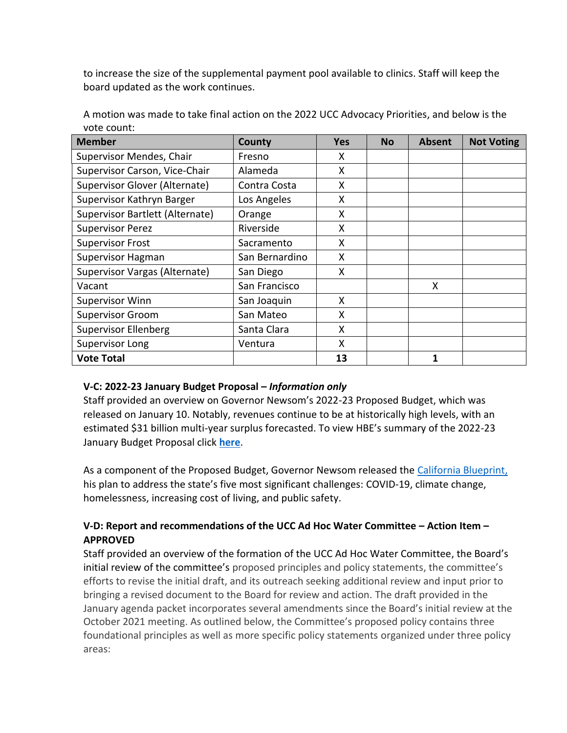to increase the size of the supplemental payment pool available to clinics. Staff will keep the board updated as the work continues.

| <b>Member</b>                   | County         | <b>Yes</b> | <b>No</b> | <b>Absent</b> | <b>Not Voting</b> |
|---------------------------------|----------------|------------|-----------|---------------|-------------------|
| Supervisor Mendes, Chair        | Fresno         | x          |           |               |                   |
| Supervisor Carson, Vice-Chair   | Alameda        | X          |           |               |                   |
| Supervisor Glover (Alternate)   | Contra Costa   | X          |           |               |                   |
| Supervisor Kathryn Barger       | Los Angeles    | X          |           |               |                   |
| Supervisor Bartlett (Alternate) | Orange         | X          |           |               |                   |
| <b>Supervisor Perez</b>         | Riverside      | X          |           |               |                   |
| <b>Supervisor Frost</b>         | Sacramento     | X          |           |               |                   |
| <b>Supervisor Hagman</b>        | San Bernardino | X          |           |               |                   |
| Supervisor Vargas (Alternate)   | San Diego      | X          |           |               |                   |
| Vacant                          | San Francisco  |            |           | X             |                   |
| <b>Supervisor Winn</b>          | San Joaquin    | X          |           |               |                   |
| <b>Supervisor Groom</b>         | San Mateo      | X          |           |               |                   |
| <b>Supervisor Ellenberg</b>     | Santa Clara    | X          |           |               |                   |
| Supervisor Long                 | Ventura        | X          |           |               |                   |
| <b>Vote Total</b>               |                | 13         |           |               |                   |

A motion was made to take final action on the 2022 UCC Advocacy Priorities, and below is the vote count:

# **V-C: 2022-23 January Budget Proposal –** *Information only*

Staff provided an overview on Governor Newsom's 2022-23 Proposed Budget, which was released on January 10. Notably, revenues continue to be at historically high levels, with an estimated \$31 billion multi-year surplus forecasted. To view HBE's summary of the 2022-23 January Budget Proposal click **[here](https://acrobat.adobe.com/link/track?uri=urn:aaid:scds:US:4f4a3e7c-9cbb-3c93-a47e-488d42ef4ccd)**.

As a component of the Proposed Budget, Governor Newsom released the [California Blueprint,](https://www.gov.ca.gov/wp-content/uploads/2022/01/Governors-California-Blueprint-Fact-Sheet.pdf) his plan to address the state's five most significant challenges: COVID-19, climate change, homelessness, increasing cost of living, and public safety.

# **V-D: Report and recommendations of the UCC Ad Hoc Water Committee – Action Item – APPROVED**

Staff provided an overview of the formation of the UCC Ad Hoc Water Committee, the Board's initial review of the committee's proposed principles and policy statements, the committee's efforts to revise the initial draft, and its outreach seeking additional review and input prior to bringing a revised document to the Board for review and action. The draft provided in the January agenda packet incorporates several amendments since the Board's initial review at the October 2021 meeting. As outlined below, the Committee's proposed policy contains three foundational principles as well as more specific policy statements organized under three policy areas: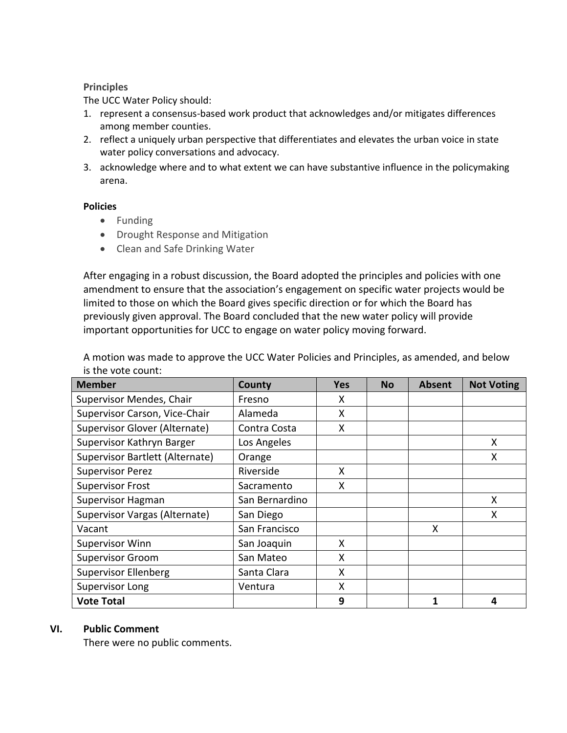#### **Principles**

The UCC Water Policy should:

- 1. represent a consensus-based work product that acknowledges and/or mitigates differences among member counties.
- 2. reflect a uniquely urban perspective that differentiates and elevates the urban voice in state water policy conversations and advocacy.
- 3. acknowledge where and to what extent we can have substantive influence in the policymaking arena.

#### **Policies**

- Funding
- Drought Response and Mitigation
- Clean and Safe Drinking Water

After engaging in a robust discussion, the Board adopted the principles and policies with one amendment to ensure that the association's engagement on specific water projects would be limited to those on which the Board gives specific direction or for which the Board has previously given approval. The Board concluded that the new water policy will provide important opportunities for UCC to engage on water policy moving forward.

| <b>Member</b>                   | County         | <b>Yes</b> | <b>No</b> | <b>Absent</b> | <b>Not Voting</b> |
|---------------------------------|----------------|------------|-----------|---------------|-------------------|
| Supervisor Mendes, Chair        | Fresno         | x          |           |               |                   |
| Supervisor Carson, Vice-Chair   | Alameda        | X          |           |               |                   |
| Supervisor Glover (Alternate)   | Contra Costa   | X          |           |               |                   |
| Supervisor Kathryn Barger       | Los Angeles    |            |           |               | X                 |
| Supervisor Bartlett (Alternate) | Orange         |            |           |               | X                 |
| <b>Supervisor Perez</b>         | Riverside      | x          |           |               |                   |
| <b>Supervisor Frost</b>         | Sacramento     | X          |           |               |                   |
| <b>Supervisor Hagman</b>        | San Bernardino |            |           |               | X                 |
| Supervisor Vargas (Alternate)   | San Diego      |            |           |               | X                 |
| Vacant                          | San Francisco  |            |           | X             |                   |
| <b>Supervisor Winn</b>          | San Joaquin    | x          |           |               |                   |
| <b>Supervisor Groom</b>         | San Mateo      | X          |           |               |                   |
| <b>Supervisor Ellenberg</b>     | Santa Clara    | Χ          |           |               |                   |
| Supervisor Long                 | Ventura        | X          |           |               |                   |
| <b>Vote Total</b>               |                | 9          |           |               | 4                 |

A motion was made to approve the UCC Water Policies and Principles, as amended, and below is the vote count:

#### **VI. Public Comment**

There were no public comments.